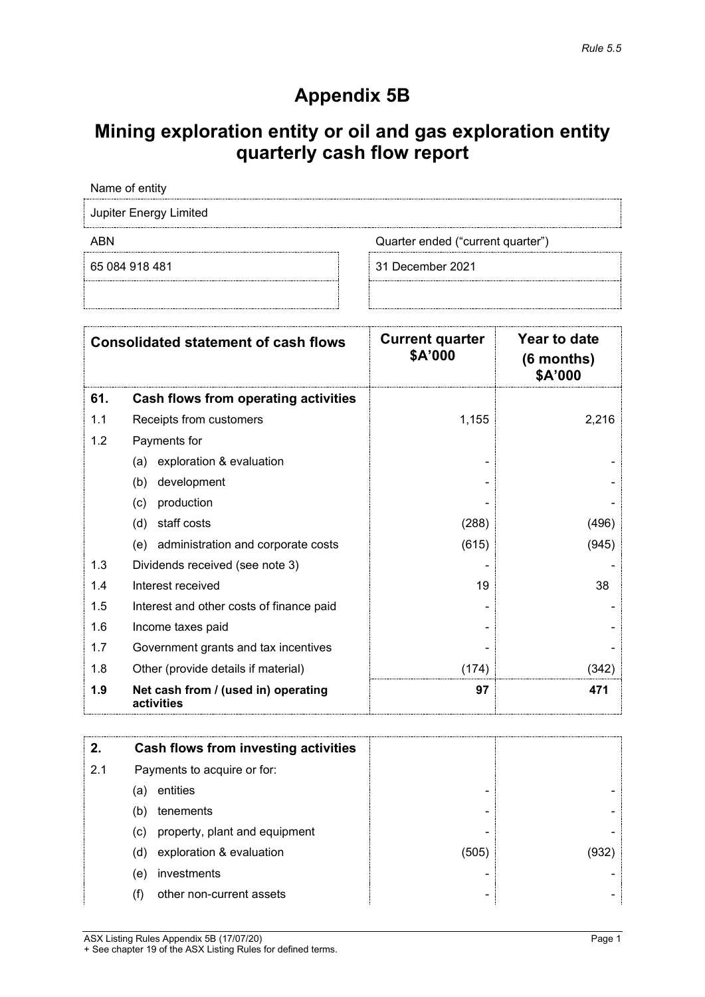# **Appendix 5B**

## **Mining exploration entity or oil and gas exploration entity quarterly cash flow report**

Name of entity Jupiter Energy Limited ABN ABN Cuarter ended ("current quarter") 65 084 918 481 31 December 2021

| <b>Consolidated statement of cash flows</b> |                                                   | <b>Current quarter</b><br>\$A'000 | Year to date<br>$(6$ months)<br>\$A'000 |
|---------------------------------------------|---------------------------------------------------|-----------------------------------|-----------------------------------------|
| 61.                                         | Cash flows from operating activities              |                                   |                                         |
| 1.1                                         | Receipts from customers                           | 1,155                             | 2,216                                   |
| 1.2                                         | Payments for                                      |                                   |                                         |
|                                             | exploration & evaluation<br>(a)                   |                                   |                                         |
|                                             | development<br>(b)                                |                                   |                                         |
|                                             | (c)<br>production                                 |                                   |                                         |
|                                             | (d)<br>staff costs                                | (288)                             | (496)                                   |
|                                             | (e) administration and corporate costs            | (615)                             | (945)                                   |
| 1.3                                         | Dividends received (see note 3)                   |                                   |                                         |
| 1.4                                         | Interest received                                 | 19                                | 38                                      |
| 1.5                                         | Interest and other costs of finance paid          |                                   |                                         |
| 1.6                                         | Income taxes paid                                 |                                   |                                         |
| 1.7                                         | Government grants and tax incentives              |                                   |                                         |
| 1.8                                         | Other (provide details if material)               | (174)                             | (342)                                   |
| 1.9                                         | Net cash from / (used in) operating<br>activities | 97                                | 471                                     |

|     |                             | Cash flows from investing activities |                          |     |
|-----|-----------------------------|--------------------------------------|--------------------------|-----|
| 2.1 | Payments to acquire or for: |                                      |                          |     |
|     | (a)                         | entities                             | -                        |     |
|     | (b)                         | tenements                            | $\overline{\phantom{0}}$ |     |
|     | (c)                         | property, plant and equipment        | -                        |     |
|     | (d)                         | exploration & evaluation             | (505)                    | 932 |
|     | (e)                         | investments                          | -                        |     |
|     |                             | other non-current assets             | $\overline{\phantom{0}}$ |     |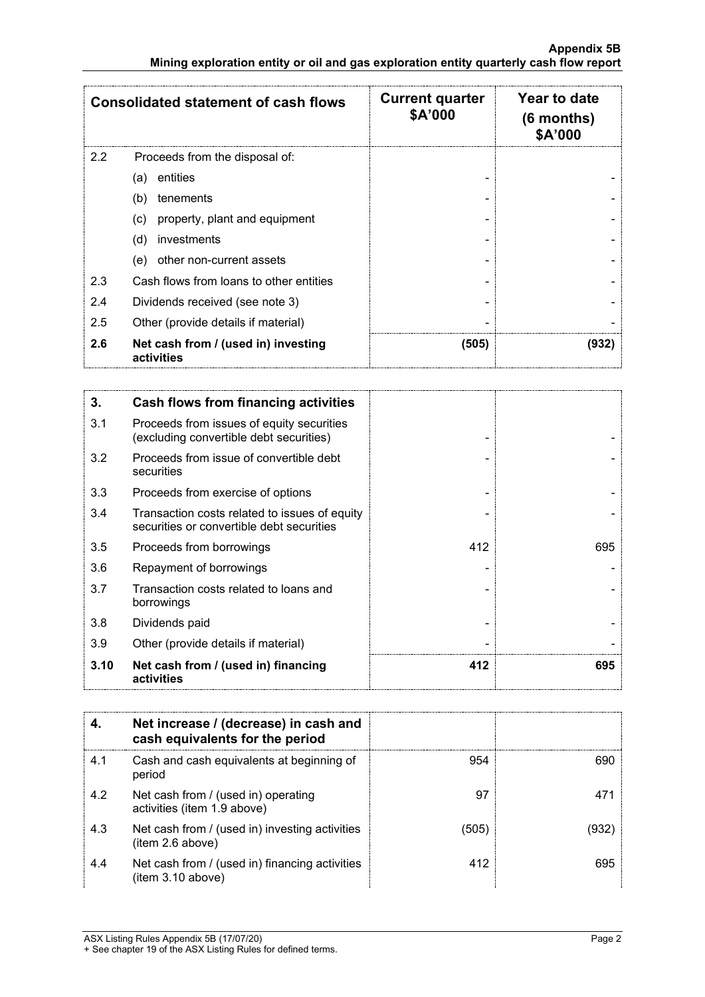|     | <b>Consolidated statement of cash flows</b>       | <b>Current quarter</b><br>\$A'000 | Year to date<br>$(6$ months)<br>\$A'000 |
|-----|---------------------------------------------------|-----------------------------------|-----------------------------------------|
| 2.2 | Proceeds from the disposal of:                    |                                   |                                         |
|     | entities<br>(a)                                   |                                   |                                         |
|     | (b)<br>tenements                                  |                                   |                                         |
|     | property, plant and equipment<br>(C)              |                                   |                                         |
|     | (d)<br>investments                                |                                   |                                         |
|     | other non-current assets<br>(e)                   |                                   |                                         |
| 2.3 | Cash flows from loans to other entities           |                                   |                                         |
| 2.4 | Dividends received (see note 3)                   |                                   |                                         |
| 2.5 | Other (provide details if material)               |                                   |                                         |
| 2.6 | Net cash from / (used in) investing<br>activities | (505)                             | (932)                                   |

| 3.   | <b>Cash flows from financing activities</b>                                                |     |     |
|------|--------------------------------------------------------------------------------------------|-----|-----|
| 3.1  | Proceeds from issues of equity securities<br>(excluding convertible debt securities)       |     |     |
| 3.2  | Proceeds from issue of convertible debt<br>securities                                      |     |     |
| 3.3  | Proceeds from exercise of options                                                          |     |     |
| 3.4  | Transaction costs related to issues of equity<br>securities or convertible debt securities |     |     |
| 3.5  | Proceeds from borrowings                                                                   | 412 | 695 |
| 3.6  | Repayment of borrowings                                                                    |     |     |
| 3.7  | Transaction costs related to loans and<br>borrowings                                       |     |     |
| 3.8  | Dividends paid                                                                             |     |     |
| 3.9  | Other (provide details if material)                                                        |     |     |
| 3.10 | Net cash from / (used in) financing<br>activities                                          | 412 | 695 |

|     | Net increase / (decrease) in cash and<br>cash equivalents for the period |       |     |
|-----|--------------------------------------------------------------------------|-------|-----|
| 4.1 | Cash and cash equivalents at beginning of<br>period                      | 954   | 690 |
| 4.2 | Net cash from / (used in) operating<br>activities (item 1.9 above)       | 97    | 471 |
| 4.3 | Net cash from / (used in) investing activities<br>(item 2.6 above)       | (505) |     |
| 4.4 | Net cash from / (used in) financing activities<br>(item 3.10 above)      | 412   | 695 |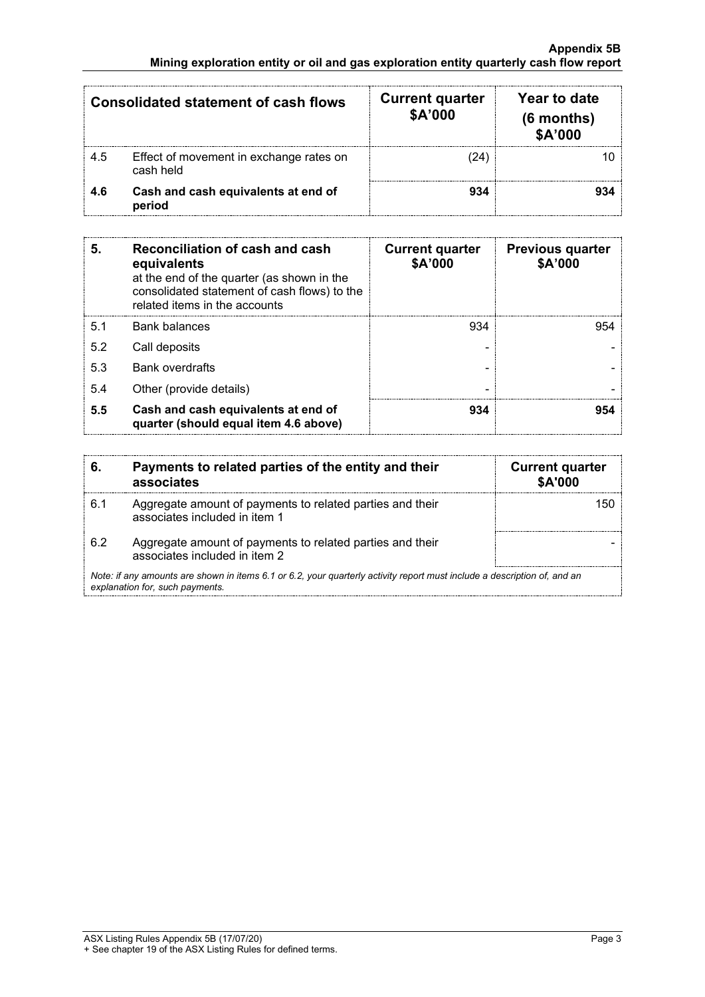| <b>Consolidated statement of cash flows</b> |                                                      | <b>Current quarter</b><br>\$A'000 | Year to date<br>$(6$ months)<br>\$A'000 |
|---------------------------------------------|------------------------------------------------------|-----------------------------------|-----------------------------------------|
| 4.5                                         | Effect of movement in exchange rates on<br>cash held | 24.                               |                                         |
| 4.6                                         | Cash and cash equivalents at end of<br>period        | 934                               |                                         |

| 5   | Reconciliation of cash and cash<br>equivalents<br>at the end of the quarter (as shown in the<br>consolidated statement of cash flows) to the<br>related items in the accounts | <b>Current quarter</b><br>\$A'000 | <b>Previous quarter</b><br>\$A'000 |
|-----|-------------------------------------------------------------------------------------------------------------------------------------------------------------------------------|-----------------------------------|------------------------------------|
| 5.1 | <b>Bank balances</b>                                                                                                                                                          | 934                               | 954                                |
| 5.2 | Call deposits                                                                                                                                                                 |                                   |                                    |
| 5.3 | <b>Bank overdrafts</b>                                                                                                                                                        |                                   |                                    |
| 5.4 | Other (provide details)                                                                                                                                                       |                                   |                                    |
| 5.5 | Cash and cash equivalents at end of<br>quarter (should equal item 4.6 above)                                                                                                  | 934                               |                                    |

| 6.  | Payments to related parties of the entity and their<br>associates                                                                                           | <b>Current quarter</b><br><b>\$A'000</b> |
|-----|-------------------------------------------------------------------------------------------------------------------------------------------------------------|------------------------------------------|
| 6.1 | Aggregate amount of payments to related parties and their<br>associates included in item 1                                                                  |                                          |
| 62  | Aggregate amount of payments to related parties and their<br>associates included in item 2                                                                  |                                          |
|     | Note: if any amounts are shown in items 6.1 or 6.2, your quarterly activity report must include a description of, and an<br>explanation for, such payments. |                                          |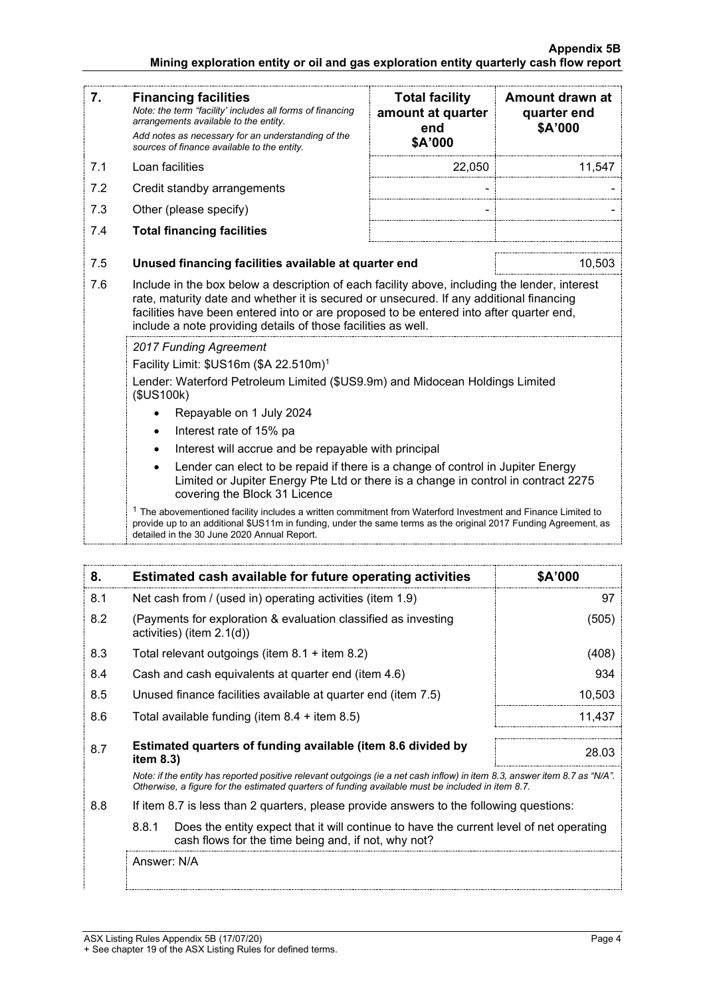### **Appendix 5B Mining exploration entity or oil and gas exploration entity quarterly cash flow report**

| 7.  | <b>Financing facilities</b><br>Note: the term "facility' includes all forms of financing<br>arrangements available to the entity.<br>Add notes as necessary for an understanding of the<br>sources of finance available to the entity.                                                                                                                                                                                                                                                                                                                                                                                                                                                                                                                                                                            | <b>Total facility</b><br>amount at quarter<br>end<br>\$A'000 | Amount drawn at<br>quarter end<br>\$A'000 |
|-----|-------------------------------------------------------------------------------------------------------------------------------------------------------------------------------------------------------------------------------------------------------------------------------------------------------------------------------------------------------------------------------------------------------------------------------------------------------------------------------------------------------------------------------------------------------------------------------------------------------------------------------------------------------------------------------------------------------------------------------------------------------------------------------------------------------------------|--------------------------------------------------------------|-------------------------------------------|
| 7.1 | Loan facilities                                                                                                                                                                                                                                                                                                                                                                                                                                                                                                                                                                                                                                                                                                                                                                                                   | 22,050                                                       | 11,547                                    |
| 7.2 | Credit standby arrangements                                                                                                                                                                                                                                                                                                                                                                                                                                                                                                                                                                                                                                                                                                                                                                                       |                                                              |                                           |
| 7.3 | Other (please specify)                                                                                                                                                                                                                                                                                                                                                                                                                                                                                                                                                                                                                                                                                                                                                                                            |                                                              |                                           |
| 7.4 | <b>Total financing facilities</b>                                                                                                                                                                                                                                                                                                                                                                                                                                                                                                                                                                                                                                                                                                                                                                                 |                                                              |                                           |
| 7.5 | Unused financing facilities available at quarter end                                                                                                                                                                                                                                                                                                                                                                                                                                                                                                                                                                                                                                                                                                                                                              |                                                              | 10,503                                    |
| 7.6 | Include in the box below a description of each facility above, including the lender, interest<br>rate, maturity date and whether it is secured or unsecured. If any additional financing<br>facilities have been entered into or are proposed to be entered into after quarter end,<br>include a note providing details of those facilities as well.                                                                                                                                                                                                                                                                                                                                                                                                                                                              |                                                              |                                           |
|     | 2017 Funding Agreement<br>Facility Limit: \$US16m (\$A 22.510m) <sup>1</sup><br>Lender: Waterford Petroleum Limited (\$US9.9m) and Midocean Holdings Limited<br>(\$US100k)<br>Repayable on 1 July 2024<br>Interest rate of 15% pa<br>$\bullet$<br>Interest will accrue and be repayable with principal<br>Lender can elect to be repaid if there is a change of control in Jupiter Energy<br>$\bullet$<br>Limited or Jupiter Energy Pte Ltd or there is a change in control in contract 2275<br>covering the Block 31 Licence<br>$1$ The abovementioned facility includes a written commitment from Waterford Investment and Finance Limited to<br>provide up to an additional \$US11m in funding, under the same terms as the original 2017 Funding Agreement, as<br>detailed in the 30 June 2020 Annual Report. |                                                              |                                           |

| 8.  | Estimated cash available for future operating activities                                                                                                                                                                        | <b>SA'000</b> |
|-----|---------------------------------------------------------------------------------------------------------------------------------------------------------------------------------------------------------------------------------|---------------|
| 8.1 | Net cash from / (used in) operating activities (item 1.9)                                                                                                                                                                       |               |
| 8.2 | (Payments for exploration & evaluation classified as investing<br>activities) (item $2.1(d)$ )                                                                                                                                  | (505)         |
| 8.3 | Total relevant outgoings (item 8.1 + item 8.2)                                                                                                                                                                                  | (408)         |
| 8.4 | Cash and cash equivalents at quarter end (item 4.6)                                                                                                                                                                             | 934           |
| 8.5 | Unused finance facilities available at quarter end (item 7.5)                                                                                                                                                                   | 10,503        |
| 8.6 | Total available funding (item $8.4$ + item $8.5$ )                                                                                                                                                                              | 11.437        |
| 8.7 | Estimated quarters of funding available (item 8.6 divided by<br>item $8.3$ )                                                                                                                                                    | 28.03         |
|     | Note: if the entity has reported positive relevant outgoings (ie a net cash inflow) in item 8.3, answer item 8.7 as "N/A".<br>Otherwise, a figure for the estimated quarters of funding available must be included in item 8.7. |               |
| 8.8 | If item 8.7 is less than 2 quarters, please provide answers to the following questions:                                                                                                                                         |               |
|     | 8.8.1<br>Does the entity expect that it will continue to have the current level of net operating<br>cash flows for the time being and, if not, why not?                                                                         |               |
|     | Answer: N/A                                                                                                                                                                                                                     |               |